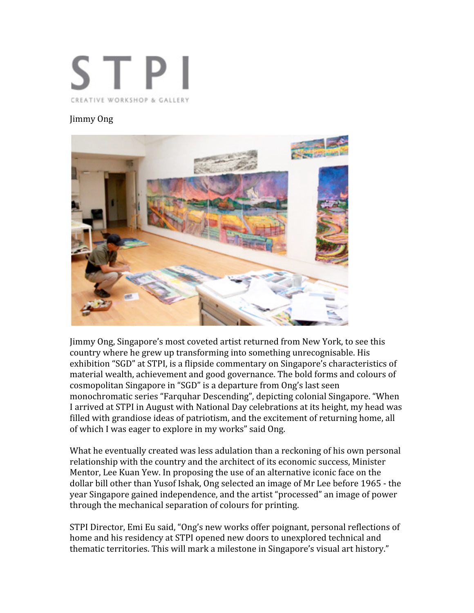

## Jimmy Ong



Jimmy Ong, Singapore's most coveted artist returned from New York, to see this country where he grew up transforming into something unrecognisable. His exhibition "SGD" at STPI, is a flipside commentary on Singapore's characteristics of material wealth, achievement and good governance. The bold forms and colours of cosmopolitan Singapore in "SGD" is a departure from Ong's last seen monochromatic series "Farquhar Descending", depicting colonial Singapore. "When I arrived at STPI in August with National Day celebrations at its height, my head was filled with grandiose ideas of patriotism, and the excitement of returning home, all of which I was eager to explore in my works" said Ong.

What he eventually created was less adulation than a reckoning of his own personal relationship with the country and the architect of its economic success, Minister Mentor, Lee Kuan Yew. In proposing the use of an alternative iconic face on the dollar bill other than Yusof Ishak, Ong selected an image of Mr Lee before 1965 ‐ the year Singapore gained independence, and the artist "processed" an image of power through the mechanical separation of colours for printing.

STPI Director, Emi Eu said, "Ong's new works offer poignant, personal reflections of home and his residency at STPI opened new doors to unexplored technical and thematic territories. This will mark a milestone in Singapore's visual art history."